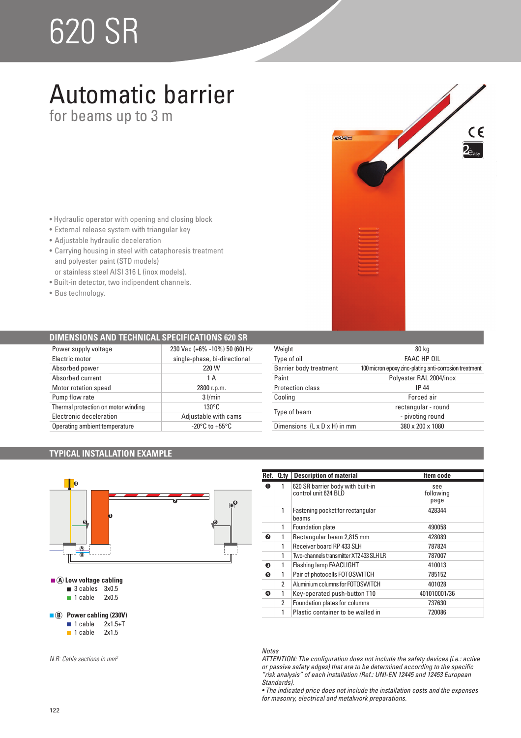# 620 SR

### Automatic barrier

for beams up to 3 m

- Hydraulic operator with opening and closing block
- External release system with triangular key
- Adjustable hydraulic deceleration
- Carrying housing in steel with cataphoresis treatment and polyester paint (STD models) or stainless steel AISI 316 L (inox models).
- · Built-in detector, two indipendent channels.
- Bus technology.

#### **DIMENSIONS AND TECHNICAL SPECIFICATIONS 620 SR**

| Power supply voltage                | 230 Vac (+6% -10%) 50 (60) Hz      |
|-------------------------------------|------------------------------------|
| Electric motor                      | single-phase, bi-directional       |
| Absorbed power                      | 220 W                              |
| Absorbed current                    | 1 A                                |
| Motor rotation speed                | 2800 r.p.m.                        |
| Pump flow rate                      | $3$ $l/min$                        |
| Thermal protection on motor winding | $130^{\circ}$ C                    |
| Electronic deceleration             | Adjustable with cams               |
| Operating ambient temperature       | $-20^{\circ}$ C to $+55^{\circ}$ C |

| Weight                                   | 80 kg                                                  |
|------------------------------------------|--------------------------------------------------------|
| Type of oil                              | <b>FAAC HP OIL</b>                                     |
| <b>Barrier body treatment</b>            | 100 micron epoxy zinc-plating anti-corrosion treatment |
| Paint                                    | Polyester RAL 2004/inox                                |
| Protection class                         | IP 44                                                  |
| Cooling                                  | Forced air                                             |
| Type of beam                             | rectangular - round                                    |
|                                          | - pivoting round                                       |
| Dimensions $(L \times D \times H)$ in mm | 380 x 200 x 1080                                       |

EAAC

 $C \in$ 

#### **TYPICAL INSTALLATION EXAMPLE**



| Ref. | $Q_{\text{.}ty}$ | <b>Description of material</b>                            | Item code                |
|------|------------------|-----------------------------------------------------------|--------------------------|
| O    | 1                | 620 SR barrier body with built-in<br>control unit 624 BLD | see<br>following<br>page |
|      | 1                | Fastening pocket for rectangular<br>beams                 | 428344                   |
|      | 1                | Foundation plate                                          | 490058                   |
| ❷    | 1                | Rectangular beam 2,815 mm                                 | 428089                   |
|      | 1                | Receiver board RP 433 SLH                                 | 787824                   |
|      | 1                | Two-channels transmitter XT2 433 SLH LR                   | 787007                   |
| ❸    | 1                | Flashing lamp FAACLIGHT                                   | 410013                   |
| 6    |                  | Pair of photocells FOTOSWITCH                             | 785152                   |
|      | 2                | Aluminium columns for FOTOSWITCH                          | 401028                   |
| ❹    | 1                | Key-operated push-button T10                              | 401010001/36             |
|      | 2                | Foundation plates for columns                             | 737630                   |
|      |                  | Plastic container to be walled in                         | 720086                   |

#### *Notes*

*ATTENTION: The configuration does not include the safety devices (i.e.: active or passive safety edges) that are to be determined according to the specific "risk analysis" of each installation (Ref.: UNI-EN 12445 and 12453 European Standards).*

• The indicated price does not include the installation costs and the expenses *for masonry, electrical and metalwork preparations.*

| N.B: Cable sections in mm |  |
|---------------------------|--|
|---------------------------|--|

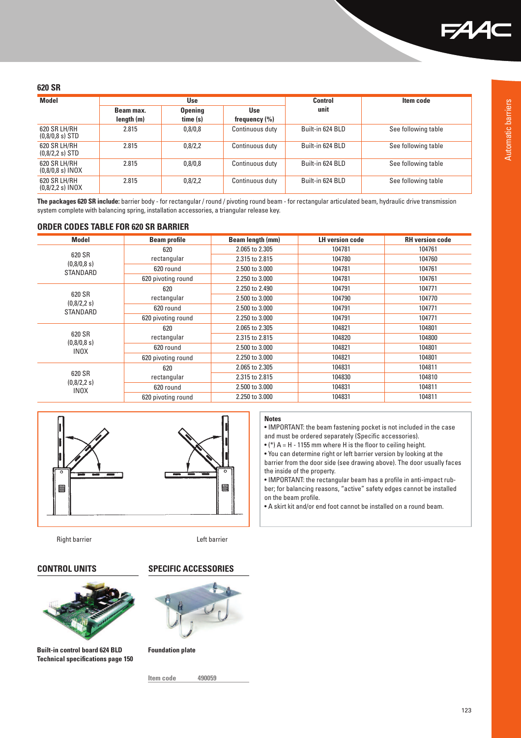

Automatic barriers

Automatic barriers

#### **620 SR**

| <b>Model</b>                       | <b>Use</b> |                | Control           | Item code        |                     |
|------------------------------------|------------|----------------|-------------------|------------------|---------------------|
|                                    | Beam max.  | <b>Opening</b> | <b>Use</b>        | unit             |                     |
|                                    | length (m) | time (s)       | frequency $(\% )$ |                  |                     |
| 620 SR LH/RH<br>$(0.8/0.8 s)$ STD  | 2.815      | 0,8/0,8        | Continuous duty   | Built-in 624 BLD | See following table |
| 620 SR LH/RH<br>$(0.8/2.2 s)$ STD  | 2.815      | 0,8/2,2        | Continuous duty   | Built-in 624 BLD | See following table |
| 620 SR LH/RH<br>$(0,8/0,8 s)$ INOX | 2.815      | 0,8/0,8        | Continuous duty   | Built-in 624 BLD | See following table |
| 620 SR LH/RH<br>$(0.8/2.2 s)$ INOX | 2.815      | 0,8/2,2        | Continuous duty   | Built-in 624 BLD | See following table |

**The packages 620 SR include:** barrier body - for rectangular / round / pivoting round beam - for rectangular articulated beam, hydraulic drive transmission system complete with balancing spring, installation accessories, a triangular release key.

#### **ORDER CODES TABLE FOR 620 SR BARRIER**

| <b>Model</b>                         | <b>Beam profile</b> | Beam length (mm) | <b>LH version code</b> | <b>RH</b> version code |
|--------------------------------------|---------------------|------------------|------------------------|------------------------|
|                                      | 620                 | 2.065 to 2.305   | 104781                 | 104761                 |
| 620 SR                               | rectangular         | 2.315 to 2.815   | 104780                 | 104760                 |
| (0,8/0,8 s)<br>STANDARD              | 620 round           | 2.500 to 3.000   | 104781                 | 104761                 |
|                                      | 620 pivoting round  | 2.250 to 3.000   | 104781                 | 104761                 |
|                                      | 620                 | 2.250 to 2.490   | 104791                 | 104771                 |
| 620 SR                               | rectangular         | 2.500 to 3.000   | 104790                 | 104770                 |
| (0,8/2,2 s)<br>STANDARD              | 620 round           | 2.500 to 3.000   | 104791                 | 104771                 |
|                                      | 620 pivoting round  | 2.250 to 3.000   | 104791                 | 104771                 |
|                                      | 620                 | 2.065 to 2.305   | 104821                 | 104801                 |
| 620 SR                               | rectangular         | 2.315 to 2.815   | 104820                 | 104800                 |
| (0,8/0,8 s)<br><b>INOX</b>           | 620 round           | 2.500 to 3.000   | 104821                 | 104801                 |
|                                      | 620 pivoting round  | 2.250 to 3.000   | 104821                 | 104801                 |
| 620 SR<br>(0,8/2,2 s)<br><b>INOX</b> | 620                 | 2.065 to 2.305   | 104831                 | 104811                 |
|                                      | rectangular         | 2.315 to 2.815   | 104830                 | 104810                 |
|                                      | 620 round           | 2.500 to 3.000   | 104831                 | 104811                 |
|                                      | 620 pivoting round  | 2.250 to 3.000   | 104831                 | 104811                 |



Right barrier **Left barrier Left barrier** 



**Built-in control board 624 BLD Technical specifications page 150**

#### **CONTROL UNITS SPECIFIC ACCESSORIES**



**Foundation plate**

**Item code 490059**

#### **Notes**

. IMPORTANT: the beam fastening pocket is not included in the case and must be ordered separately (Specific accessories).

 $\bullet$  (\*) A = H - 1155 mm where H is the floor to ceiling height.

. You can determine right or left barrier version by looking at the barrier from the door side (see drawing above). The door usually faces the inside of the property.

• IMPORTANT: the rectangular beam has a profile in anti-impact rubber; for balancing reasons, "active" safety edges cannot be installed on the beam profile.

• A skirt kit and/or end foot cannot be installed on a round beam.